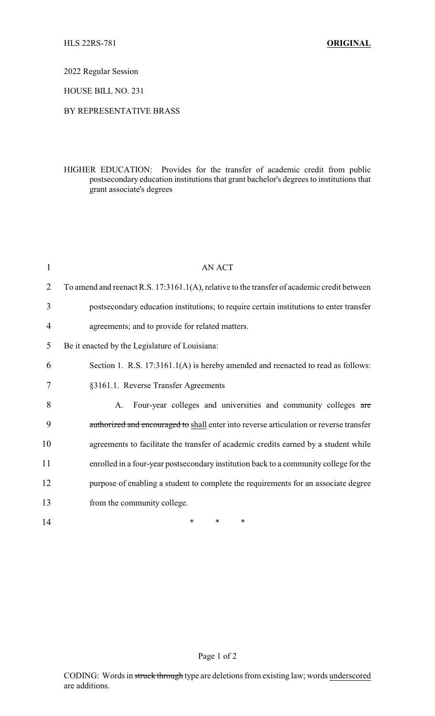2022 Regular Session

HOUSE BILL NO. 231

## BY REPRESENTATIVE BRASS

HIGHER EDUCATION: Provides for the transfer of academic credit from public postsecondary education institutions that grant bachelor's degrees to institutions that grant associate's degrees

| $\mathbf{1}$   | <b>AN ACT</b>                                                                               |
|----------------|---------------------------------------------------------------------------------------------|
| $\overline{2}$ | To amend and reenact R.S. 17:3161.1(A), relative to the transfer of academic credit between |
| 3              | postsecondary education institutions; to require certain institutions to enter transfer     |
| 4              | agreements; and to provide for related matters.                                             |
| 5              | Be it enacted by the Legislature of Louisiana:                                              |
| 6              | Section 1. R.S. 17:3161.1(A) is hereby amended and reenacted to read as follows:            |
| 7              | §3161.1. Reverse Transfer Agreements                                                        |
| 8              | Four-year colleges and universities and community colleges are<br>A.                        |
| 9              | authorized and encouraged to shall enter into reverse articulation or reverse transfer      |
| 10             | agreements to facilitate the transfer of academic credits earned by a student while         |
| 11             | enrolled in a four-year postsecondary institution back to a community college for the       |
| 12             | purpose of enabling a student to complete the requirements for an associate degree          |
| 13             | from the community college.                                                                 |
| 14             | $\ast$<br>∗<br>∗                                                                            |